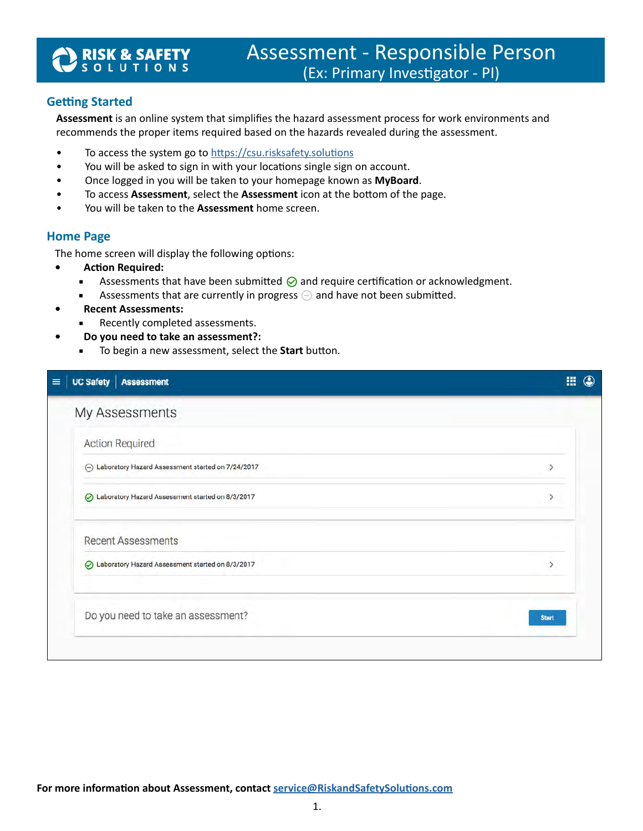# **RISK & SAFETY**<br>'s o l u t i o n s

## **Getting Started**

**Assessment** is an online system that simplifies the hazard assessment process for work environments and recommends the proper items required based on the hazards revealed during the assessment.

- To access the system go to [https://csu.risksafety.solutions](https://csu.risksafety.solutions/)
- You will be asked to sign in with your locations single sign on account.
- Once logged in you will be taken to your homepage known as **MyBoard**.
- To access **Assessment**, select the **Assessment** icon at the bottom of the page.
- You will be taken to the **Assessment** home screen.

### **Home Page**

The home screen will display the following options:

- **• Action Required:**
	- **■** Assessments that have been submitted  $\odot$  and require certification or acknowledgment.
	- **Assessments that are currently in progress**  $\ominus$  and have not been submitted.
	- **• Recent Assessments:**
		- Recently completed assessments.
- **• Do you need to take an assessment?:**
	- To begin a new assessment, select the **Start** button.

| UC Safety   Assessment                              | 冊<br>$\circledcirc$ |
|-----------------------------------------------------|---------------------|
| My Assessments                                      |                     |
| <b>Action Required</b>                              |                     |
| → Laboratory Hazard Assessment started on 7/24/2017 |                     |
| ◯ Laboratory Hazard Assessment started on 8/3/2017  |                     |
| <b>Recent Assessments</b>                           |                     |
| ◯ Laboratory Hazard Assessment started on 8/3/2017  | ↘                   |
| Do you need to take an assessment?                  | <b>Start</b>        |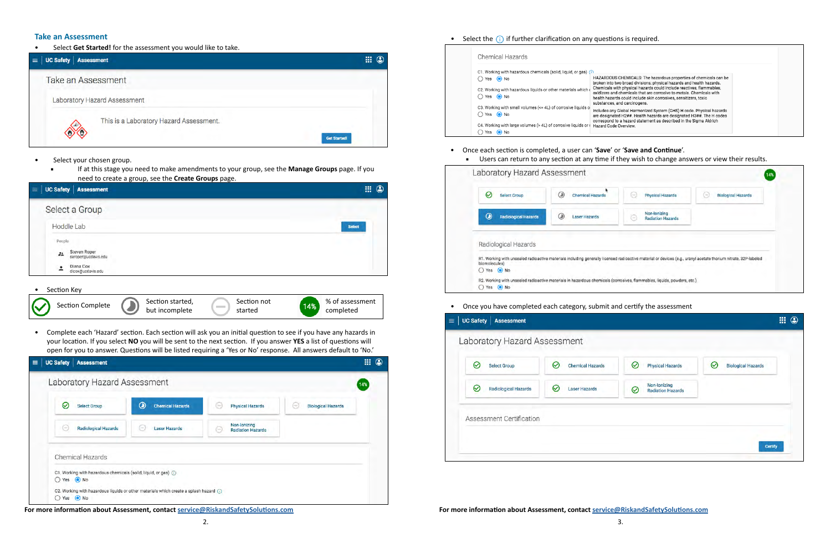• Select **Get Started!** for the assessment you would like to take.

| UC Safety   Assessment<br>$\equiv$ |                                         | 冊<br>$\mathbf{\mathfrak{C}}$ |
|------------------------------------|-----------------------------------------|------------------------------|
| Take an Assessment                 |                                         |                              |
|                                    | Laboratory Hazard Assessment            |                              |
|                                    | This is a Laboratory Hazard Assessment. | <b>Get Started!</b>          |

- Select your chosen group.
	- If at this stage you need to make amendments to your group, see the **Manage Groups** page. If you need to create a group, see the **Create Groups** page.

### **Take an Assessment**

| <b>UC Safety   Assessment</b><br>$\equiv$                                                                                                                                                                                                       | $\mathbb{H}$ 0               |
|-------------------------------------------------------------------------------------------------------------------------------------------------------------------------------------------------------------------------------------------------|------------------------------|
| Select a Group<br>Hoddle Lab<br>Select<br>People<br>Steven Roper<br>22<br>saroper(@ucdavis.edu<br>Diana Cox<br>٠<br>-<br>dicox@ucdavis.edu<br>Section Key<br>Section started,<br>Section not<br><b>Section Complete</b><br>14%<br>$\frac{1}{2}$ |                              |
|                                                                                                                                                                                                                                                 |                              |
|                                                                                                                                                                                                                                                 |                              |
|                                                                                                                                                                                                                                                 |                              |
| but incomplete<br>started                                                                                                                                                                                                                       | % of assessment<br>completed |

• Complete each 'Hazard' section. Each section will ask you an initial question to see if you have any hazards in your location. If you select **NO** you will be sent to the next section. If you answer **YES** a list of questions will open for you to answer. Questions will be listed requiring a 'Yes or No' response. All answers default to 'No.'



**For more information about Assessment, contact <b>[service@RiskandSafetySolutions.com](mailto:service%40RiskandSafetySolutions.com?subject=) For more information about Assessment, contact service@RiskandSafetySolutions.com** 



| Chemical Hazards                                                                                                                        |
|-----------------------------------------------------------------------------------------------------------------------------------------|
| C1. Working with hazardous chemicals (solid, liquid, or gas) (1)                                                                        |
| <b>HAZARDO</b><br>$\bigcap$ Yes $\bigcirc$ No<br>broken into                                                                            |
| Chemicals<br>C2. Working with hazardous liquids or other materials which of<br>oxidizers a<br>$\bigcap$ Yes $\bigcirc$ No<br>health haz |
| substance<br>C3. Working with small volumes (<= 4L) of corrosive liquids of<br>Includes a<br>$\bigcap$ Yes $\bigcirc$ No<br>are design  |
| correspone<br>C4. Working with large volumes (> 4L) of corrosive liquids or<br>Hazard Co<br>Yes<br>$\odot$ No                           |

- Once each section is completed, a user can '**Save**' or '**Save and Continue**'.
	-

| $\checkmark$<br><b>Select Group</b>    | $\circled{1}$<br><b>Chemical Hazards</b> | <b>Physical Hazards</b><br><b>County</b>          | <b>Biological Hazards</b><br>$\sim$                                                                                                                             |
|----------------------------------------|------------------------------------------|---------------------------------------------------|-----------------------------------------------------------------------------------------------------------------------------------------------------------------|
| $\odot$<br><b>Radiological Hazards</b> | O<br><b>Laser Hazards</b>                | Non-Ionizing<br><b>Radiation Hazards</b><br>Cort) |                                                                                                                                                                 |
|                                        |                                          |                                                   |                                                                                                                                                                 |
|                                        |                                          |                                                   |                                                                                                                                                                 |
| Radiological Hazards                   |                                          |                                                   |                                                                                                                                                                 |
| biomolecules)                          |                                          |                                                   | R1. Working with unsealed radioactive materials including generally licensed radioactive material or devices (e.g., uranyl acetate thorium nitrate, 32P-labeled |

## ■ Users can return to any section at any time if they wish to change answers or view their results.

• Once you have completed each category, submit and certify the assessment

|                                                                                        | <b>Select Group</b>         | ⊘<br><b>Chemical Hazards</b> | $\omega$<br><b>Physical Hazards</b> | の<br><b>Biological Hazards</b> |
|----------------------------------------------------------------------------------------|-----------------------------|------------------------------|-------------------------------------|--------------------------------|
| Non-Ionizing<br>⊘<br><b>Laser Hazards</b><br>$\bm{\varpi}$<br><b>Radiation Hazards</b> | <b>Radiological Hazards</b> |                              |                                     |                                |